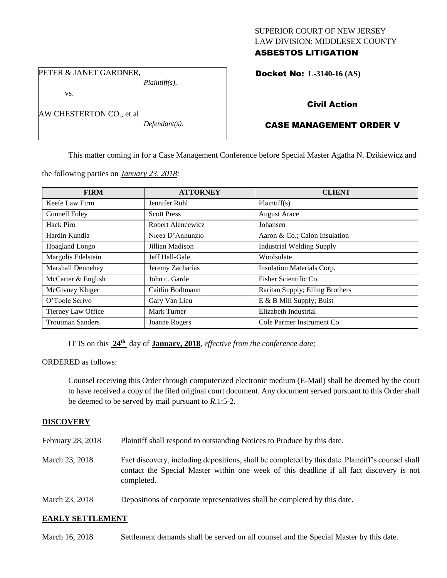## SUPERIOR COURT OF NEW JERSEY LAW DIVISION: MIDDLESEX COUNTY ASBESTOS LITIGATION

PETER & JANET GARDNER,

vs.

*Plaintiff(s),*

AW CHESTERTON CO., et al

*Defendant(s).*

Docket No: **L-3140-16 (AS)** 

# Civil Action

## CASE MANAGEMENT ORDER V

This matter coming in for a Case Management Conference before Special Master Agatha N. Dzikiewicz and

the following parties on *January 23, 2018:*

| <b>FIRM</b>             | <b>ATTORNEY</b>    | <b>CLIENT</b>                    |
|-------------------------|--------------------|----------------------------------|
| Keefe Law Firm          | Jennifer Ruhl      | Plaintiff(s)                     |
| Connell Foley           | <b>Scott Press</b> | <b>August Arace</b>              |
| Hack Piro               | Robert Alencewicz  | Johansen                         |
| Hardin Kundla           | Nicea D'Annunzio   | Aaron & Co.; Calon Insulation    |
| Hoagland Longo          | Jillian Madison    | <b>Industrial Welding Supply</b> |
| Margolis Edelstein      | Jeff Hall-Gale     | Woolsulate                       |
| Marshall Dennehey       | Jeremy Zacharias   | Insulation Materials Corp.       |
| McCarter & English      | John c. Garde      | Fisher Scientific Co.            |
| McGivney Kluger         | Caitlin Bodtmann   | Raritan Supply; Elling Brothers  |
| O'Toole Scrivo          | Gary Van Lieu      | E & B Mill Supply; Buist         |
| Tierney Law Office      | Mark Turner        | Elizabeth Industrial             |
| <b>Troutman Sanders</b> | Joanne Rogers      | Cole Parmer Instrument Co.       |

IT IS on this  $24^{\text{th}}$  day of **January, 2018**, *effective from the conference date*;

ORDERED as follows:

Counsel receiving this Order through computerized electronic medium (E-Mail) shall be deemed by the court to have received a copy of the filed original court document. Any document served pursuant to this Order shall be deemed to be served by mail pursuant to *R*.1:5-2.

## **DISCOVERY**

- February 28, 2018 Plaintiff shall respond to outstanding Notices to Produce by this date.
- March 23, 2018 Fact discovery, including depositions, shall be completed by this date. Plaintiff's counsel shall contact the Special Master within one week of this deadline if all fact discovery is not completed.
- March 23, 2018 Depositions of corporate representatives shall be completed by this date.

## **EARLY SETTLEMENT**

March 16, 2018 Settlement demands shall be served on all counsel and the Special Master by this date.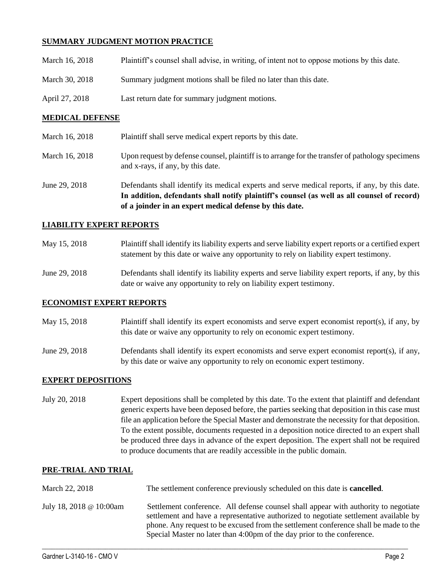## **SUMMARY JUDGMENT MOTION PRACTICE**

| March 16, 2018 | Plaintiff's counsel shall advise, in writing, of intent not to oppose motions by this date. |
|----------------|---------------------------------------------------------------------------------------------|
| March 30, 2018 | Summary judgment motions shall be filed no later than this date.                            |
| April 27, 2018 | Last return date for summary judgment motions.                                              |

#### **MEDICAL DEFENSE**

|                | of a joinder in an expert medical defense by this date.                                                                               |
|----------------|---------------------------------------------------------------------------------------------------------------------------------------|
|                | In addition, defendants shall notify plaintiff's counsel (as well as all counsel of record)                                           |
| June 29, 2018  | Defendants shall identify its medical experts and serve medical reports, if any, by this date.                                        |
| March 16, 2018 | Upon request by defense counsel, plaintiff is to arrange for the transfer of pathology specimens<br>and x-rays, if any, by this date. |
| March 16, 2018 | Plaintiff shall serve medical expert reports by this date.                                                                            |

#### **LIABILITY EXPERT REPORTS**

| May 15, 2018  | Plaintiff shall identify its liability experts and serve liability expert reports or a certified expert<br>statement by this date or waive any opportunity to rely on liability expert testimony. |
|---------------|---------------------------------------------------------------------------------------------------------------------------------------------------------------------------------------------------|
| June 29, 2018 | Defendants shall identify its liability experts and serve liability expert reports, if any, by this<br>date or waive any opportunity to rely on liability expert testimony.                       |

#### **ECONOMIST EXPERT REPORTS**

May 15, 2018 Plaintiff shall identify its expert economists and serve expert economist report(s), if any, by this date or waive any opportunity to rely on economic expert testimony.

June 29, 2018 Defendants shall identify its expert economists and serve expert economist report(s), if any, by this date or waive any opportunity to rely on economic expert testimony.

#### **EXPERT DEPOSITIONS**

July 20, 2018 Expert depositions shall be completed by this date. To the extent that plaintiff and defendant generic experts have been deposed before, the parties seeking that deposition in this case must file an application before the Special Master and demonstrate the necessity for that deposition. To the extent possible, documents requested in a deposition notice directed to an expert shall be produced three days in advance of the expert deposition. The expert shall not be required to produce documents that are readily accessible in the public domain.

#### **PRE-TRIAL AND TRIAL**

| March 22, 2018          | The settlement conference previously scheduled on this date is <b>cancelled</b> .                                                                                                                                                                                                                                                              |
|-------------------------|------------------------------------------------------------------------------------------------------------------------------------------------------------------------------------------------------------------------------------------------------------------------------------------------------------------------------------------------|
| July 18, 2018 @ 10:00am | Settlement conference. All defense counsel shall appear with authority to negotiate<br>settlement and have a representative authorized to negotiate settlement available by<br>phone. Any request to be excused from the settlement conference shall be made to the<br>Special Master no later than 4:00pm of the day prior to the conference. |